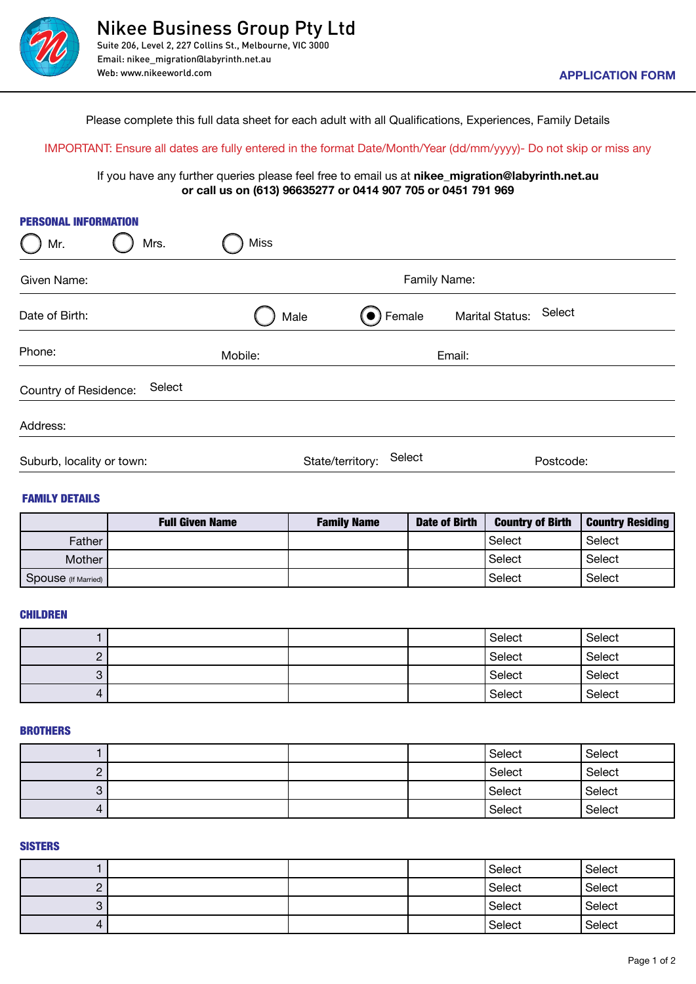

Please complete this full data sheet for each adult with all Qualifications, Experiences, Family Details

## Important: Ensure all dates are fully entered in the format Date/Month/Year (dd/mm/yyyy)- Do not skip or miss any

If you have any further queries please feel free to email us at **nikee\_migration@labyrinth.net.au or call us on (613) 96635277 or 0414 907 705 or 0451 791 969**

| <b>PERSONAL INFORMATION</b><br>Mr. | Miss<br>Mrs.           |                    |                      |                           |                         |
|------------------------------------|------------------------|--------------------|----------------------|---------------------------|-------------------------|
| Given Name:                        |                        |                    | Family Name:         |                           |                         |
| Date of Birth:                     |                        | Male               | (●) Female           | Select<br>Marital Status: |                         |
| Phone:                             | Mobile:                |                    | Email:               |                           |                         |
| Country of Residence:              | Select                 |                    |                      |                           |                         |
| Address:                           |                        |                    |                      |                           |                         |
| Suburb, locality or town:          |                        | State/territory:   | Select               | Postcode:                 |                         |
| <b>FAMILY DETAILS</b>              |                        |                    |                      |                           |                         |
|                                    | <b>Full Given Name</b> | <b>Family Name</b> | <b>Date of Birth</b> | <b>Country of Birth</b>   | <b>Country Residing</b> |
| Father                             |                        |                    |                      | Select                    | Select                  |
| Mother                             |                        |                    |                      | Select                    | Select                  |
| Spouse (If Married)                |                        |                    |                      | Select                    | Select                  |
| <b>CHILDREN</b>                    |                        |                    |                      |                           |                         |
| $\mathbf{1}$                       |                        |                    |                      | Select                    | Select                  |
| $\overline{c}$                     |                        |                    |                      | Select                    | Select                  |
| 3                                  |                        |                    |                      | Select                    | Select                  |
| 4                                  |                        |                    |                      | Select                    | Select                  |
| <b>BROTHERS</b>                    |                        |                    |                      |                           |                         |
| $\mathbf{1}$                       |                        |                    |                      | Select                    | Select                  |
| $\overline{c}$                     |                        |                    |                      | Select                    | Select                  |
| 3                                  |                        |                    |                      | Select                    | Select                  |
| $\overline{4}$                     |                        |                    |                      | Select                    | Select                  |

|                     | <b>Full Given Name</b> | <b>Family Name</b> | <b>Date of Birth</b> | <b>Country of Birth</b> | <b>Country Residing</b> |
|---------------------|------------------------|--------------------|----------------------|-------------------------|-------------------------|
| Father              |                        |                    |                      | Select                  | Select                  |
| Mother              |                        |                    |                      | Select                  | Select                  |
| Spouse (If Married) |                        |                    |                      | Select                  | Select                  |

### **CHILDREN**

|          |  | Select | Select |
|----------|--|--------|--------|
| <u>.</u> |  | Select | Select |
| ັ        |  | Select | Select |
|          |  | Select | Select |

#### **BROTHERS**

|   |  | Select | Select |
|---|--|--------|--------|
|   |  | Select | Select |
| ບ |  | Select | Select |
| 4 |  | Select | Select |

#### **SISTERS**

|              |  | Select | Select |
|--------------|--|--------|--------|
| <u>.</u>     |  | Select | Select |
| ື            |  | Select | Select |
| $\mathbf{r}$ |  | Select | Select |